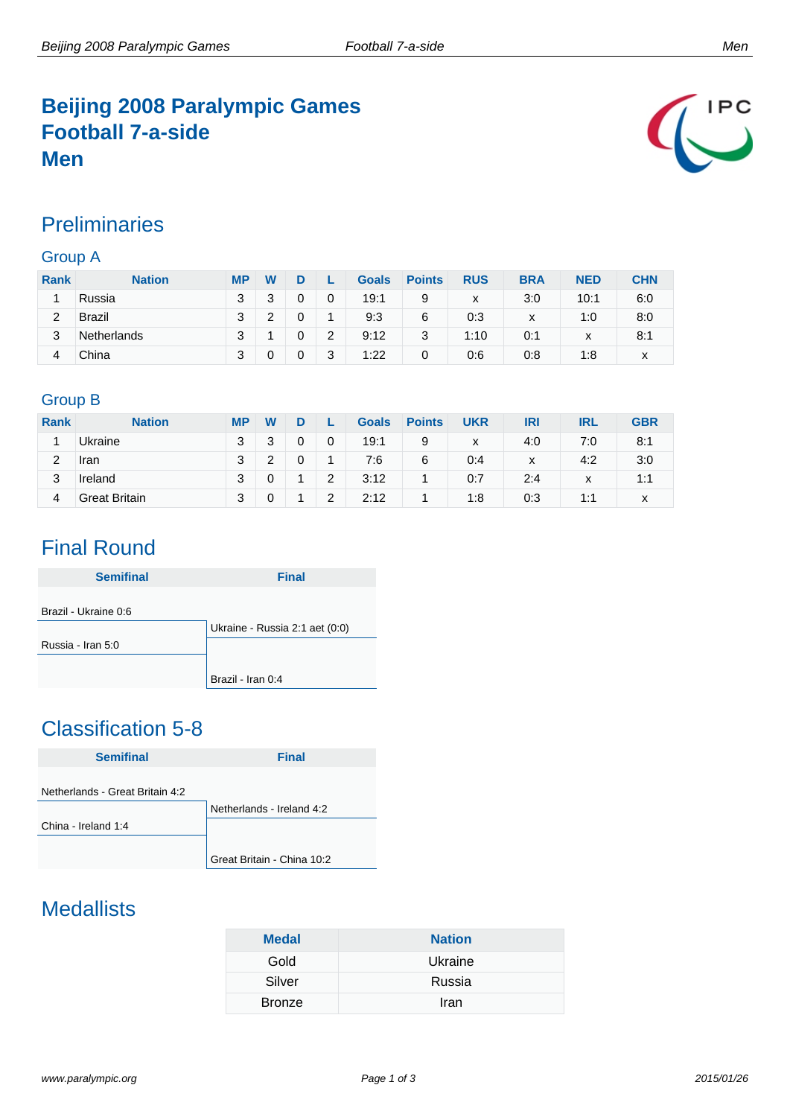## **Beijing 2008 Paralympic Games Football 7-a-side Men**



### **Preliminaries**

#### Group A

| <b>Rank</b> | <b>Nation</b>      | <b>MP</b> | W |   |   | <b>Goals</b> | <b>Points</b> | <b>RUS</b> | <b>BRA</b> | <b>NED</b>   | <b>CHN</b> |
|-------------|--------------------|-----------|---|---|---|--------------|---------------|------------|------------|--------------|------------|
|             | Russia             | 3         | າ |   | 0 | 19:1         | 9             | x          | 3:0        | 10:1         | 6:0        |
| 2           | <b>Brazil</b>      | 3         | ົ |   | и | 9:3          | 6             | 0:3        | x          | 1:0          | 8:0        |
| 3           | <b>Netherlands</b> | 3         |   | 0 | 2 | 9:12         | 3             | 1:10       | 0:1        | $\checkmark$ | 8:1        |
| 4           | China              | 3         |   | 0 | 3 | 1:22         | 0             | 0:6        | 0:8        | 1:8          | x          |

#### Group B

| <b>Rank</b> | <b>Nation</b>        | <b>MP</b> | W      |   |   | <b>Goals</b> | <b>Points</b> | <b>UKR</b> | IRI | <b>IRL</b>        | <b>GBR</b> |
|-------------|----------------------|-----------|--------|---|---|--------------|---------------|------------|-----|-------------------|------------|
|             | Ukraine              | 3         | າ<br>ບ | 0 | 0 | 19:1         | 9             | x          | 4:0 | 7:0               | 8:1        |
| 2           | <b>Iran</b>          | 3         |        |   |   | 7:6          | 6             | 0:4        | x   | 4:2               | 3:0        |
| 3           | Ireland              | 3         |        |   | 2 | 3:12         |               | 0:7        | 2:4 | $\checkmark$<br>⋏ | 1:1        |
| 4           | <b>Great Britain</b> | 3         |        |   | 2 | 2:12         |               | 1:8        | 0:3 | 1:1               | х          |

## Final Round

| <b>Semifinal</b>     | <b>Final</b>                   |
|----------------------|--------------------------------|
| Brazil - Ukraine 0:6 |                                |
|                      | Ukraine - Russia 2:1 aet (0:0) |
| Russia - Iran 5:0    |                                |
|                      |                                |
|                      | Brazil - Iran 0:4              |

# Classification 5-8

| <b>Semifinal</b>                | <b>Final</b>               |
|---------------------------------|----------------------------|
|                                 |                            |
| Netherlands - Great Britain 4:2 |                            |
|                                 | Netherlands - Ireland 4:2  |
| China - Ireland 1:4             |                            |
|                                 |                            |
|                                 | Great Britain - China 10:2 |

## **Medallists**

| <b>Medal</b>  | <b>Nation</b> |
|---------------|---------------|
| Gold          | Ukraine       |
| Silver        | Russia        |
| <b>Bronze</b> | Iran          |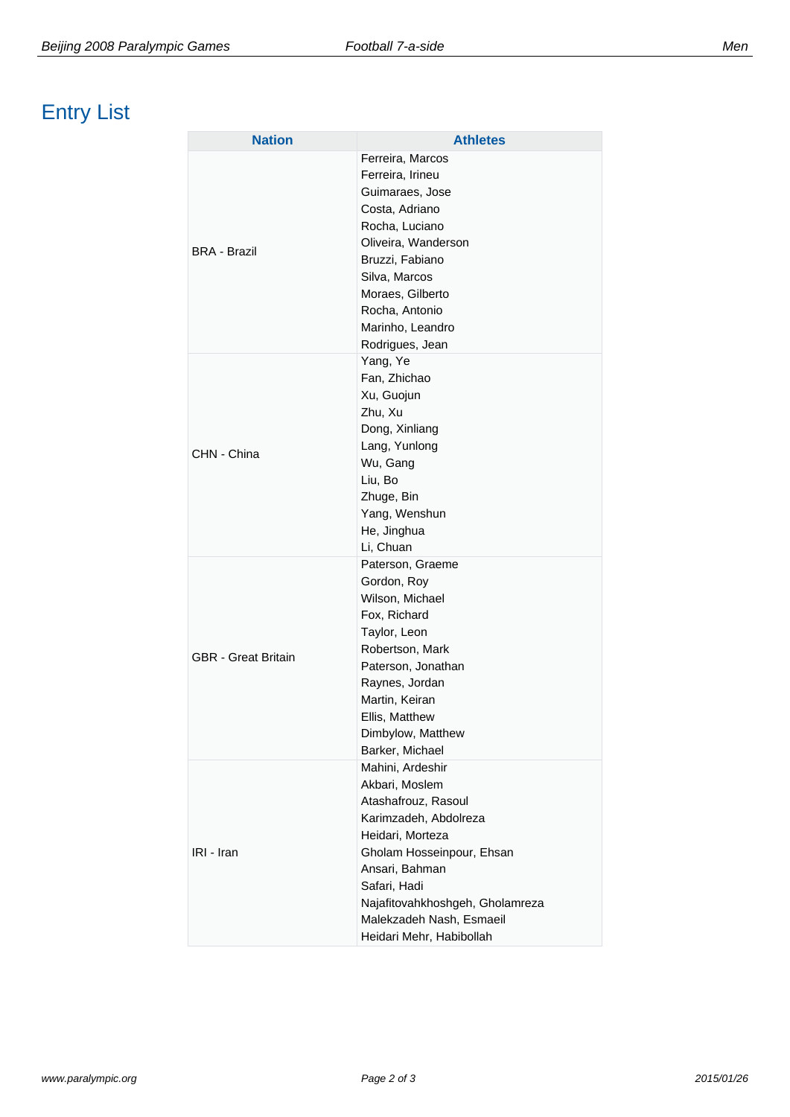| <b>Nation</b>              | <b>Athletes</b>                                                                                                                                                                                                                                                  |
|----------------------------|------------------------------------------------------------------------------------------------------------------------------------------------------------------------------------------------------------------------------------------------------------------|
| <b>BRA - Brazil</b>        | Ferreira, Marcos<br>Ferreira, Irineu<br>Guimaraes, Jose<br>Costa, Adriano<br>Rocha, Luciano<br>Oliveira, Wanderson<br>Bruzzi, Fabiano<br>Silva, Marcos<br>Moraes, Gilberto<br>Rocha, Antonio<br>Marinho, Leandro<br>Rodrigues, Jean                              |
| CHN - China                | Yang, Ye<br>Fan, Zhichao<br>Xu, Guojun<br>Zhu, Xu<br>Dong, Xinliang<br>Lang, Yunlong<br>Wu, Gang<br>Liu, Bo<br>Zhuge, Bin<br>Yang, Wenshun<br>He, Jinghua<br>Li, Chuan                                                                                           |
| <b>GBR</b> - Great Britain | Paterson, Graeme<br>Gordon, Roy<br>Wilson, Michael<br>Fox, Richard<br>Taylor, Leon<br>Robertson, Mark<br>Paterson, Jonathan<br>Raynes, Jordan<br>Martin, Keiran<br>Ellis, Matthew<br>Dimbylow, Matthew<br>Barker, Michael                                        |
| IRI - Iran                 | Mahini, Ardeshir<br>Akbari, Moslem<br>Atashafrouz, Rasoul<br>Karimzadeh, Abdolreza<br>Heidari, Morteza<br>Gholam Hosseinpour, Ehsan<br>Ansari, Bahman<br>Safari, Hadi<br>Najafitovahkhoshgeh, Gholamreza<br>Malekzadeh Nash, Esmaeil<br>Heidari Mehr, Habibollah |